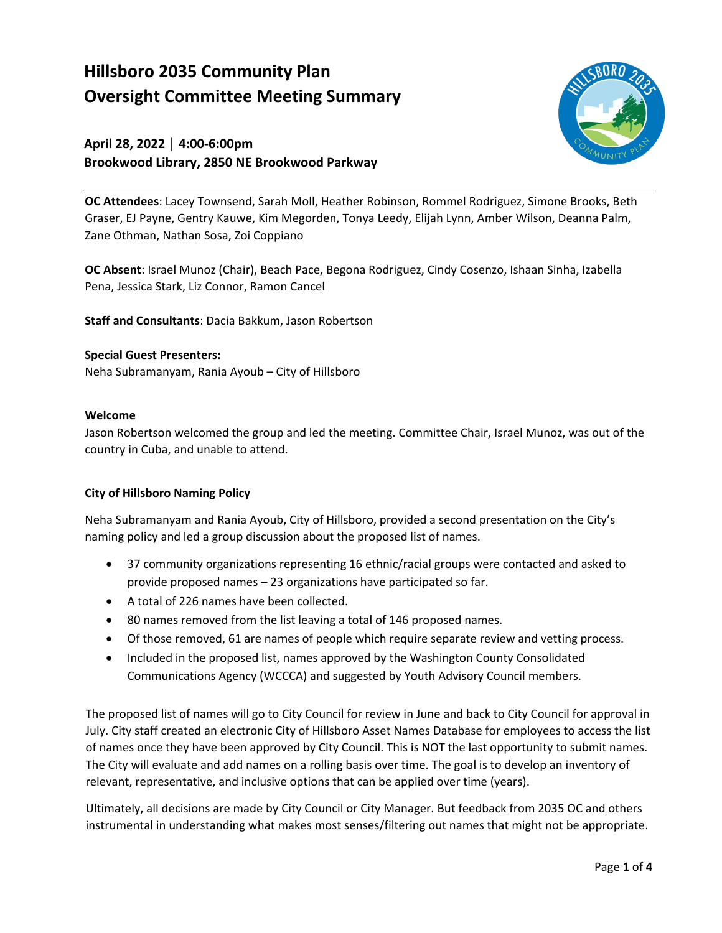# **Hillsboro 2035 Community Plan Oversight Committee Meeting Summary**

# **April 28, 2022 │ 4:00-6:00pm Brookwood Library, 2850 NE Brookwood Parkway**



 **OC Attendees**: Lacey Townsend, Sarah Moll, Heather Robinson, Rommel Rodriguez, Simone Brooks, Beth Graser, EJ Payne, Gentry Kauwe, Kim Megorden, Tonya Leedy, Elijah Lynn, Amber Wilson, Deanna Palm, Zane Othman, Nathan Sosa, Zoi Coppiano

**OC Absent**: Israel Munoz (Chair), Beach Pace, Begona Rodriguez, Cindy Cosenzo, Ishaan Sinha, Izabella Pena, Jessica Stark, Liz Connor, Ramon Cancel

**Staff and Consultants**: Dacia Bakkum, Jason Robertson

#### **Special Guest Presenters:**

Neha Subramanyam, Rania Ayoub – City of Hillsboro

# **Welcome**

 country in Cuba, and unable to attend. Jason Robertson welcomed the group and led the meeting. Committee Chair, Israel Munoz, was out of the

### **City of Hillsboro Naming Policy**

Neha Subramanyam and Rania Ayoub, City of Hillsboro, provided a second presentation on the City's naming policy and led a group discussion about the proposed list of names.

- • 37 community organizations representing 16 ethnic/racial groups were contacted and asked to provide proposed names – 23 organizations have participated so far.
- A total of 226 names have been collected.
- 80 names removed from the list leaving a total of 146 proposed names.
- Of those removed, 61 are names of people which require separate review and vetting process.
- Communications Agency (WCCCA) and suggested by Youth Advisory Council members. • Included in the proposed list, names approved by the Washington County Consolidated

 of names once they have been approved by City Council. This is NOT the last opportunity to submit names. The proposed list of names will go to City Council for review in June and back to City Council for approval in July. City staff created an electronic City of Hillsboro Asset Names Database for employees to access the list The City will evaluate and add names on a rolling basis over time. The goal is to develop an inventory of relevant, representative, and inclusive options that can be applied over time (years).

Ultimately, all decisions are made by City Council or City Manager. But feedback from 2035 OC and others instrumental in understanding what makes most senses/filtering out names that might not be appropriate.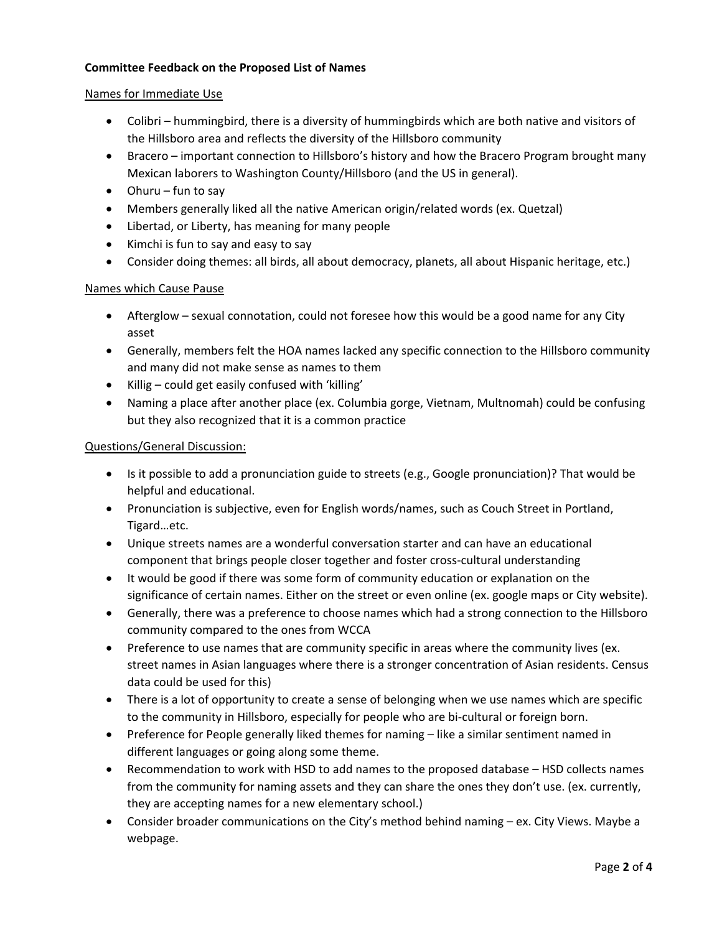# **Committee Feedback on the Proposed List of Names**

#### Names for Immediate Use

- the Hillsboro area and reflects the diversity of the Hillsboro community • Colibri – hummingbird, there is a diversity of hummingbirds which are both native and visitors of
- Mexican laborers to Washington County/Hillsboro (and the US in general). • Bracero – important connection to Hillsboro's history and how the Bracero Program brought many
- Ohuru fun to say
- Members generally liked all the native American origin/related words (ex. Quetzal)
- Libertad, or Liberty, has meaning for many people
- Kimchi is fun to say and easy to say
- Consider doing themes: all birds, all about democracy, planets, all about Hispanic heritage, etc.)

#### Names which Cause Pause

- • Afterglow sexual connotation, could not foresee how this would be a good name for any City asset
- • Generally, members felt the HOA names lacked any specific connection to the Hillsboro community and many did not make sense as names to them
- Killig could get easily confused with 'killing'
- • Naming a place after another place (ex. Columbia gorge, Vietnam, Multnomah) could be confusing but they also recognized that it is a common practice

#### Questions/General Discussion:

- • Is it possible to add a pronunciation guide to streets (e.g., Google pronunciation)? That would be helpful and educational.
- Pronunciation is subjective, even for English words/names, such as Couch Street in Portland, Tigard…etc.
- Unique streets names are a wonderful conversation starter and can have an educational component that brings people closer together and foster cross-cultural understanding
- It would be good if there was some form of community education or explanation on the significance of certain names. Either on the street or even online (ex. google maps or City website).
- Generally, there was a preference to choose names which had a strong connection to the Hillsboro community compared to the ones from WCCA
- Preference to use names that are community specific in areas where the community lives (ex. street names in Asian languages where there is a stronger concentration of Asian residents. Census data could be used for this)
- There is a lot of opportunity to create a sense of belonging when we use names which are specific to the community in Hillsboro, especially for people who are bi-cultural or foreign born.
- Preference for People generally liked themes for naming like a similar sentiment named in different languages or going along some theme.
- • Recommendation to work with HSD to add names to the proposed database HSD collects names from the community for naming assets and they can share the ones they don't use. (ex. currently, they are accepting names for a new elementary school.)
- Consider broader communications on the City's method behind naming ex. City Views. Maybe a webpage.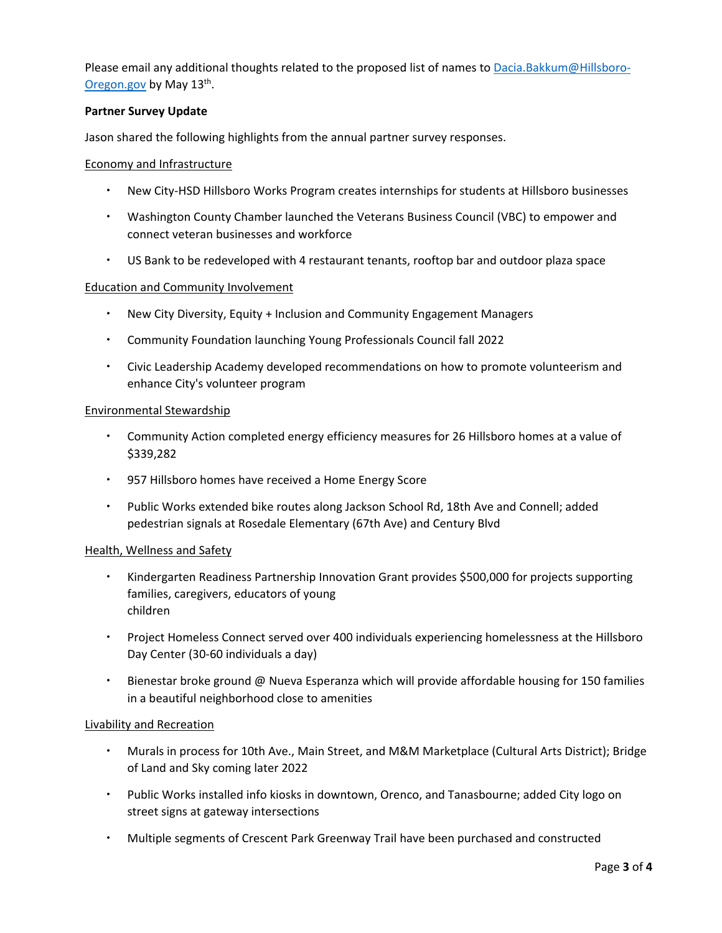Please email any additional thoughts related to the proposed list of names to [Dacia.Bakkum@Hillsboro-](mailto:Dacia.Bakkum@Hillsboro-Oregon.gov)[Oregon.gov](mailto:Dacia.Bakkum@Hillsboro-Oregon.gov) by May 13th.

## **Partner Survey Update**

Jason shared the following highlights from the annual partner survey responses.

#### Economy and Infrastructure

- New City-HSD Hillsboro Works Program creates internships for students at Hillsboro businesses
- Washington County Chamber launched the Veterans Business Council (VBC) to empower and connect veteran businesses and workforce
- US Bank to be redeveloped with 4 restaurant tenants, rooftop bar and outdoor plaza space

#### Education and Community Involvement

- New City Diversity, Equity + Inclusion and Community Engagement Managers
- Community Foundation launching Young Professionals Council fall 2022
- Civic Leadership Academy developed recommendations on how to promote volunteerism and enhance City's volunteer program

#### Environmental Stewardship

- Community Action completed energy efficiency measures for 26 Hillsboro homes at a value of \$339,282
- 957 Hillsboro homes have received a Home Energy Score
- Public Works extended bike routes along Jackson School Rd, 18th Ave and Connell; added pedestrian signals at Rosedale Elementary (67th Ave) and Century Blvd

#### Health, Wellness and Safety

- **Kindergarten Readiness Partnership Innovation Grant provides \$500,000 for projects supporting** families, caregivers, educators of young children
- Project Homeless Connect served over 400 individuals experiencing homelessness at the Hillsboro Day Center (30-60 individuals a day)
- Bienestar broke ground @ Nueva Esperanza which will provide affordable housing for 150 families in a beautiful neighborhood close to amenities

#### Livability and Recreation

- Murals in process for 10th Ave., Main Street, and M&M Marketplace (Cultural Arts District); Bridge of Land and Sky coming later 2022
- Public Works installed info kiosks in downtown, Orenco, and Tanasbourne; added City logo on street signs at gateway intersections
- Multiple segments of Crescent Park Greenway Trail have been purchased and constructed